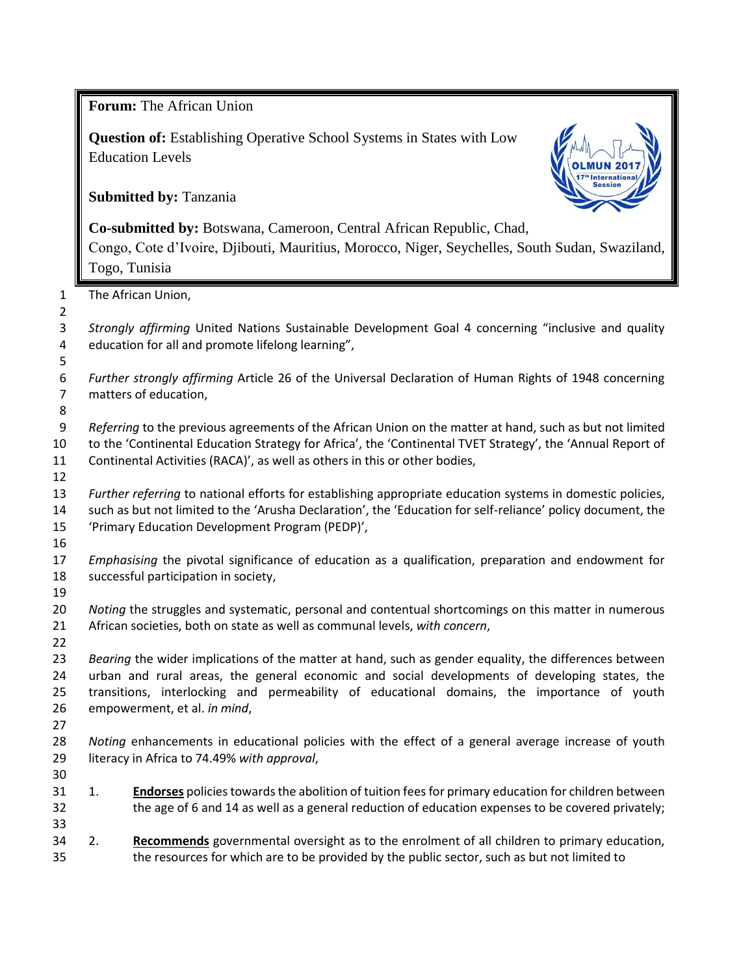|                | Forum: The African Union                                                                                                                    |                                                                                                                                                                                             |  |
|----------------|---------------------------------------------------------------------------------------------------------------------------------------------|---------------------------------------------------------------------------------------------------------------------------------------------------------------------------------------------|--|
|                |                                                                                                                                             | <b>Question of:</b> Establishing Operative School Systems in States with Low<br><b>Education Levels</b>                                                                                     |  |
|                |                                                                                                                                             | Submitted by: Tanzania                                                                                                                                                                      |  |
|                | Co-submitted by: Botswana, Cameroon, Central African Republic, Chad,                                                                        |                                                                                                                                                                                             |  |
|                | Congo, Cote d'Ivoire, Djibouti, Mauritius, Morocco, Niger, Seychelles, South Sudan, Swaziland,                                              |                                                                                                                                                                                             |  |
|                |                                                                                                                                             | Togo, Tunisia                                                                                                                                                                               |  |
| 1              |                                                                                                                                             | The African Union,                                                                                                                                                                          |  |
| $\overline{2}$ |                                                                                                                                             |                                                                                                                                                                                             |  |
| 3              |                                                                                                                                             | Strongly affirming United Nations Sustainable Development Goal 4 concerning "inclusive and quality                                                                                          |  |
| 4              |                                                                                                                                             | education for all and promote lifelong learning",                                                                                                                                           |  |
| 5<br>6         |                                                                                                                                             | Further strongly affirming Article 26 of the Universal Declaration of Human Rights of 1948 concerning                                                                                       |  |
| 7              |                                                                                                                                             | matters of education,                                                                                                                                                                       |  |
| 8              |                                                                                                                                             |                                                                                                                                                                                             |  |
| 9              |                                                                                                                                             | Referring to the previous agreements of the African Union on the matter at hand, such as but not limited                                                                                    |  |
| 10             |                                                                                                                                             | to the 'Continental Education Strategy for Africa', the 'Continental TVET Strategy', the 'Annual Report of                                                                                  |  |
| 11<br>12       |                                                                                                                                             | Continental Activities (RACA)', as well as others in this or other bodies,                                                                                                                  |  |
| 13             |                                                                                                                                             | Further referring to national efforts for establishing appropriate education systems in domestic policies,                                                                                  |  |
| 14             | such as but not limited to the 'Arusha Declaration', the 'Education for self-reliance' policy document, the                                 |                                                                                                                                                                                             |  |
| 15             | 'Primary Education Development Program (PEDP)',                                                                                             |                                                                                                                                                                                             |  |
| 16             |                                                                                                                                             |                                                                                                                                                                                             |  |
| 17<br>18       | Emphasising the pivotal significance of education as a qualification, preparation and endowment for<br>successful participation in society, |                                                                                                                                                                                             |  |
| 19             |                                                                                                                                             |                                                                                                                                                                                             |  |
| 20             |                                                                                                                                             | Noting the struggles and systematic, personal and contentual shortcomings on this matter in numerous                                                                                        |  |
| 21             |                                                                                                                                             | African societies, both on state as well as communal levels, with concern,                                                                                                                  |  |
| 22             |                                                                                                                                             |                                                                                                                                                                                             |  |
| 23<br>24       |                                                                                                                                             | Bearing the wider implications of the matter at hand, such as gender equality, the differences between                                                                                      |  |
| 25             |                                                                                                                                             | urban and rural areas, the general economic and social developments of developing states, the<br>transitions, interlocking and permeability of educational domains, the importance of youth |  |
| 26             | empowerment, et al. in mind,                                                                                                                |                                                                                                                                                                                             |  |
| 27             |                                                                                                                                             |                                                                                                                                                                                             |  |
| 28             |                                                                                                                                             | Noting enhancements in educational policies with the effect of a general average increase of youth                                                                                          |  |
| 29             | literacy in Africa to 74.49% with approval,                                                                                                 |                                                                                                                                                                                             |  |
| 30<br>31       | 1.                                                                                                                                          | Endorses policies towards the abolition of tuition fees for primary education for children between                                                                                          |  |
| 32             |                                                                                                                                             | the age of 6 and 14 as well as a general reduction of education expenses to be covered privately;                                                                                           |  |
| 33             |                                                                                                                                             |                                                                                                                                                                                             |  |
| 34             | 2.                                                                                                                                          | Recommends governmental oversight as to the enrolment of all children to primary education,                                                                                                 |  |
| 35             |                                                                                                                                             | the resources for which are to be provided by the public sector, such as but not limited to                                                                                                 |  |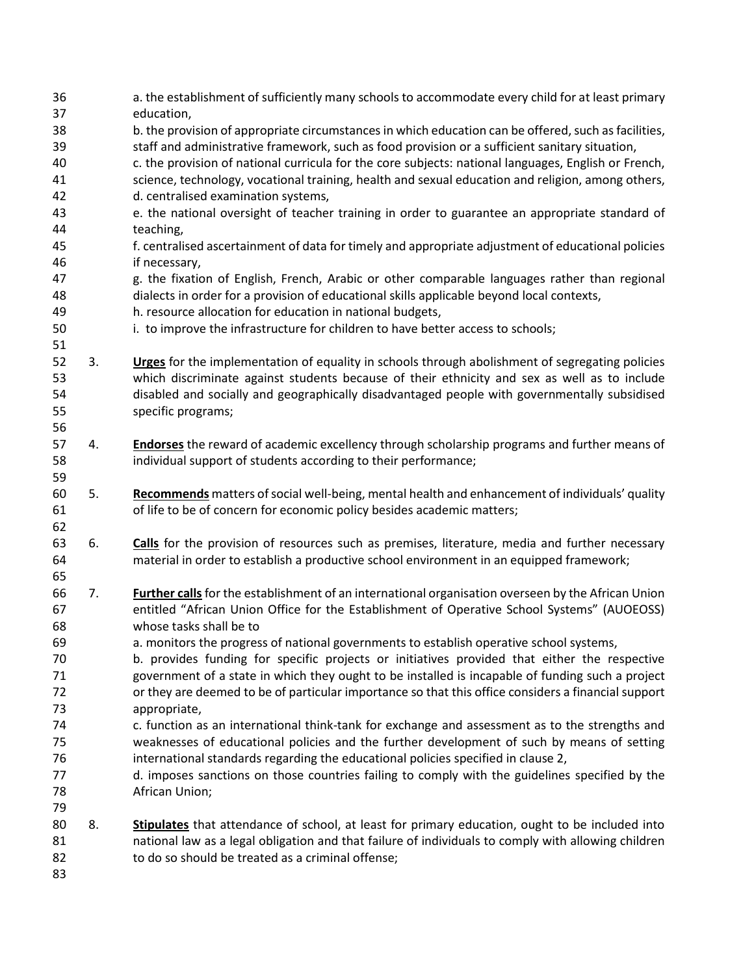| 36<br>37 |    | a. the establishment of sufficiently many schools to accommodate every child for at least primary<br>education,                                                                                         |
|----------|----|---------------------------------------------------------------------------------------------------------------------------------------------------------------------------------------------------------|
| 38       |    | b. the provision of appropriate circumstances in which education can be offered, such as facilities,                                                                                                    |
| 39       |    | staff and administrative framework, such as food provision or a sufficient sanitary situation,                                                                                                          |
| 40       |    | c. the provision of national curricula for the core subjects: national languages, English or French,                                                                                                    |
| 41       |    | science, technology, vocational training, health and sexual education and religion, among others,                                                                                                       |
| 42       |    | d. centralised examination systems,                                                                                                                                                                     |
| 43       |    | e. the national oversight of teacher training in order to guarantee an appropriate standard of                                                                                                          |
| 44       |    | teaching,                                                                                                                                                                                               |
| 45       |    | f. centralised ascertainment of data for timely and appropriate adjustment of educational policies                                                                                                      |
| 46       |    | if necessary,                                                                                                                                                                                           |
| 47       |    | g. the fixation of English, French, Arabic or other comparable languages rather than regional                                                                                                           |
| 48       |    | dialects in order for a provision of educational skills applicable beyond local contexts,                                                                                                               |
| 49       |    | h. resource allocation for education in national budgets,                                                                                                                                               |
| 50       |    | i. to improve the infrastructure for children to have better access to schools;                                                                                                                         |
| 51       |    |                                                                                                                                                                                                         |
| 52       | 3. | Urges for the implementation of equality in schools through abolishment of segregating policies                                                                                                         |
| 53       |    | which discriminate against students because of their ethnicity and sex as well as to include                                                                                                            |
| 54       |    | disabled and socially and geographically disadvantaged people with governmentally subsidised                                                                                                            |
| 55       |    | specific programs;                                                                                                                                                                                      |
| 56       |    |                                                                                                                                                                                                         |
| 57       | 4. | <b>Endorses</b> the reward of academic excellency through scholarship programs and further means of                                                                                                     |
| 58       |    | individual support of students according to their performance;                                                                                                                                          |
| 59       |    |                                                                                                                                                                                                         |
| 60       | 5. | Recommends matters of social well-being, mental health and enhancement of individuals' quality                                                                                                          |
| 61       |    | of life to be of concern for economic policy besides academic matters;                                                                                                                                  |
| 62       |    |                                                                                                                                                                                                         |
| 63       | 6. | <b>Calls</b> for the provision of resources such as premises, literature, media and further necessary                                                                                                   |
| 64       |    | material in order to establish a productive school environment in an equipped framework;                                                                                                                |
| 65       |    |                                                                                                                                                                                                         |
| 66       | 7. | Further calls for the establishment of an international organisation overseen by the African Union                                                                                                      |
| 67       |    | entitled "African Union Office for the Establishment of Operative School Systems" (AUOEOSS)                                                                                                             |
| 68       |    | whose tasks shall be to                                                                                                                                                                                 |
| 69       |    | a. monitors the progress of national governments to establish operative school systems,                                                                                                                 |
| 70<br>71 |    | b. provides funding for specific projects or initiatives provided that either the respective                                                                                                            |
| 72       |    | government of a state in which they ought to be installed is incapable of funding such a project<br>or they are deemed to be of particular importance so that this office considers a financial support |
| 73       |    | appropriate,                                                                                                                                                                                            |
| 74       |    | c. function as an international think-tank for exchange and assessment as to the strengths and                                                                                                          |
| 75       |    | weaknesses of educational policies and the further development of such by means of setting                                                                                                              |
| 76       |    | international standards regarding the educational policies specified in clause 2,                                                                                                                       |
| 77       |    | d. imposes sanctions on those countries failing to comply with the guidelines specified by the                                                                                                          |
| 78       |    | African Union;                                                                                                                                                                                          |
| 79       |    |                                                                                                                                                                                                         |
| 80       | 8. | Stipulates that attendance of school, at least for primary education, ought to be included into                                                                                                         |
| 81       |    |                                                                                                                                                                                                         |
|          |    |                                                                                                                                                                                                         |
| 82       |    | national law as a legal obligation and that failure of individuals to comply with allowing children<br>to do so should be treated as a criminal offense;                                                |